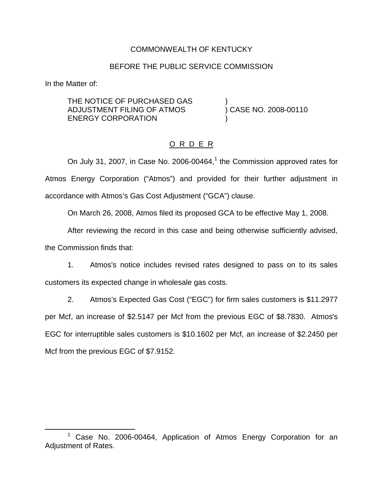## COMMONWEALTH OF KENTUCKY

### BEFORE THE PUBLIC SERVICE COMMISSION

In the Matter of:

THE NOTICE OF PURCHASED GAS )<br>ADJUSTMENT FILING OF ATMOS ) CASE NO. 2008-00110 ADJUSTMENT FILING OF ATMOS ENERGY CORPORATION

# O R D E R

On July 31, 2007, in Case No. 2006-00464, $<sup>1</sup>$  the Commission approved rates for</sup> Atmos Energy Corporation ("Atmos") and provided for their further adjustment in accordance with Atmos's Gas Cost Adjustment ("GCA") clause.

On March 26, 2008, Atmos filed its proposed GCA to be effective May 1, 2008.

After reviewing the record in this case and being otherwise sufficiently advised, the Commission finds that:

1. Atmos's notice includes revised rates designed to pass on to its sales customers its expected change in wholesale gas costs.

2. Atmos's Expected Gas Cost ("EGC") for firm sales customers is \$11.2977 per Mcf, an increase of \$2.5147 per Mcf from the previous EGC of \$8.7830. Atmos's EGC for interruptible sales customers is \$10.1602 per Mcf, an increase of \$2.2450 per Mcf from the previous EGC of \$7.9152.

<sup>&</sup>lt;sup>1</sup> Case No. 2006-00464, Application of Atmos Energy Corporation for an Adjustment of Rates.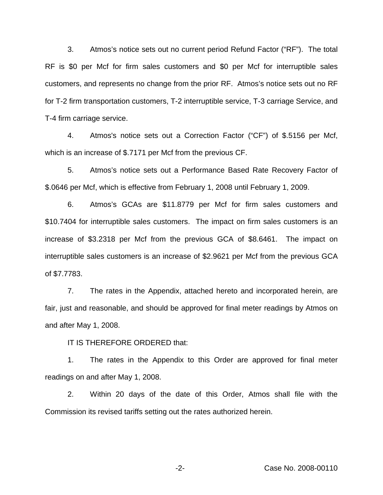3. Atmos's notice sets out no current period Refund Factor ("RF"). The total RF is \$0 per Mcf for firm sales customers and \$0 per Mcf for interruptible sales customers, and represents no change from the prior RF. Atmos's notice sets out no RF for T-2 firm transportation customers, T-2 interruptible service, T-3 carriage Service, and T-4 firm carriage service.

4. Atmos's notice sets out a Correction Factor ("CF") of \$.5156 per Mcf, which is an increase of \$.7171 per Mcf from the previous CF.

5. Atmos's notice sets out a Performance Based Rate Recovery Factor of \$.0646 per Mcf, which is effective from February 1, 2008 until February 1, 2009.

6. Atmos's GCAs are \$11.8779 per Mcf for firm sales customers and \$10.7404 for interruptible sales customers. The impact on firm sales customers is an increase of \$3.2318 per Mcf from the previous GCA of \$8.6461. The impact on interruptible sales customers is an increase of \$2.9621 per Mcf from the previous GCA of \$7.7783.

7. The rates in the Appendix, attached hereto and incorporated herein, are fair, just and reasonable, and should be approved for final meter readings by Atmos on and after May 1, 2008.

IT IS THEREFORE ORDERED that:

1. The rates in the Appendix to this Order are approved for final meter readings on and after May 1, 2008.

2. Within 20 days of the date of this Order, Atmos shall file with the Commission its revised tariffs setting out the rates authorized herein.

-2- Case No. 2008-00110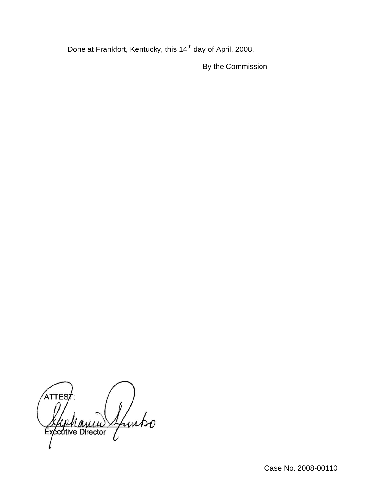Done at Frankfort, Kentucky, this 14<sup>th</sup> day of April, 2008.

By the Commission

ATTES Ifunko **Exécutive Director**